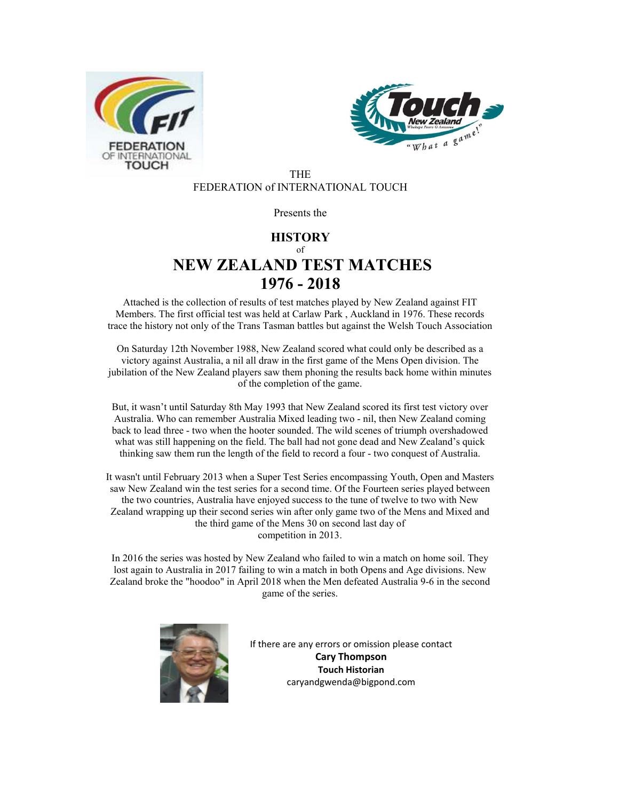



THE FEDERATION of INTERNATIONAL TOUCH

#### Presents the

### **HISTORY**  $\alpha$ f **NEW ZEALAND TEST MATCHES 1976 - 2018**

Attached is the collection of results of test matches played by New Zealand against FIT Members. The first official test was held at Carlaw Park , Auckland in 1976. These records trace the history not only of the Trans Tasman battles but against the Welsh Touch Association

On Saturday 12th November 1988, New Zealand scored what could only be described as a victory against Australia, a nil all draw in the first game of the Mens Open division. The jubilation of the New Zealand players saw them phoning the results back home within minutes of the completion of the game.

But, it wasn't until Saturday 8th May 1993 that New Zealand scored its first test victory over Australia. Who can remember Australia Mixed leading two - nil, then New Zealand coming back to lead three - two when the hooter sounded. The wild scenes of triumph overshadowed what was still happening on the field. The ball had not gone dead and New Zealand's quick thinking saw them run the length of the field to record a four - two conquest of Australia.

It wasn't until February 2013 when a Super Test Series encompassing Youth, Open and Masters saw New Zealand win the test series for a second time. Of the Fourteen series played between the two countries, Australia have enjoyed success to the tune of twelve to two with New Zealand wrapping up their second series win after only game two of the Mens and Mixed and the third game of the Mens 30 on second last day of competition in 2013.

In 2016 the series was hosted by New Zealand who failed to win a match on home soil. They lost again to Australia in 2017 failing to win a match in both Opens and Age divisions. New Zealand broke the "hoodoo" in April 2018 when the Men defeated Australia 9-6 in the second game of the series.



If there are any errors or omission please contact **Cary Thompson Touch Historian**  caryandgwenda@bigpond.com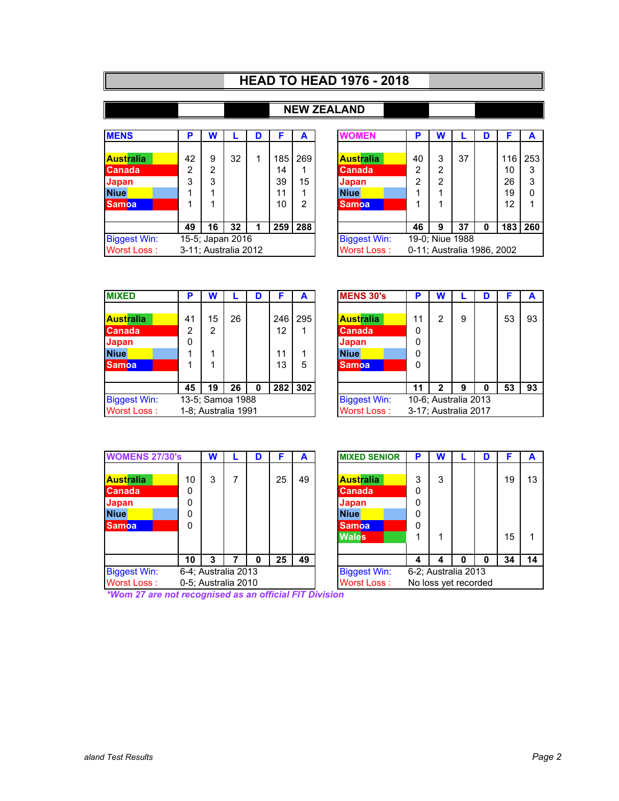## **HEAD TO HEAD 1976 - 2018**

### **NEW ZEALAND**

| <b>MENS</b>                             | Р  | W  |    | D | F                  | A              | <b>WOMEN</b>        | Þ                          | W |                 | D | F   | A        |
|-----------------------------------------|----|----|----|---|--------------------|----------------|---------------------|----------------------------|---|-----------------|---|-----|----------|
|                                         |    |    |    |   |                    |                |                     |                            |   |                 |   |     |          |
| <b>Australia</b>                        | 42 | 9  | 32 | 1 | 185                | 269            | <b>Australia</b>    | 40                         | 3 | 37              |   | 116 | 253      |
| <b>Canada</b>                           | 2  | 2  |    |   | 14                 | 1              | <b>Canada</b>       | 2                          | 2 |                 |   | 10  | 3        |
| <b>Japan</b>                            | 3  | 3  |    |   | 39                 | 15             | Japan               | 2                          | 2 |                 |   | 26  | 3        |
| <b>Niue</b>                             |    |    |    |   | 11                 | 1              | <b>Niue</b>         |                            |   |                 |   | 19  | $\Omega$ |
| <b>Samoa</b>                            |    |    |    |   | 10                 | $\overline{2}$ | <b>Samoa</b>        |                            |   |                 |   | 12  |          |
|                                         | 49 | 16 | 32 |   | 259                | 288            |                     | 46                         | 9 | 37              | 0 | 183 | 260      |
| <b>Biggest Win:</b><br>15-5; Japan 2016 |    |    |    |   |                    |                | <b>Biggest Win:</b> |                            |   | 19-0; Niue 1988 |   |     |          |
| Worst Loss:<br>3-11; Australia 2012     |    |    |    |   | <b>Worst Loss:</b> |                |                     | 0-11; Australia 1986, 2002 |   |                 |   |     |          |

| P                   | W               |    | D |             | A   | WOMFN               | Р                          | W |                 | D | F   | A   |
|---------------------|-----------------|----|---|-------------|-----|---------------------|----------------------------|---|-----------------|---|-----|-----|
|                     |                 |    |   |             |     |                     |                            |   |                 |   |     |     |
| 42                  | 9               | 32 |   | 185         | 269 | <b>Australia</b>    | 40                         | 3 | 37              |   | 116 | 253 |
| 2                   | 2               |    |   | 14          |     | <b>Canada</b>       | 2                          | 2 |                 |   | 10  | 3   |
| 3                   | 3               |    |   | 39          | 15  | Japan               | 2                          | 2 |                 |   | 26  | 3   |
|                     |                 |    |   | 11          |     | <b>Niue</b>         |                            |   |                 |   | 19  | 0   |
|                     |                 |    |   | 10          | 2   | <b>Samoa</b>        |                            |   |                 |   | 12  |     |
|                     |                 |    |   |             |     |                     |                            |   |                 |   |     |     |
| 49                  | 16              | 32 | 1 | 259         | 288 |                     | 46                         | 9 | 37              | 0 | 183 | 260 |
|                     | 5-5; Japan 2016 |    |   |             |     | <b>Biggest Win:</b> |                            |   | 19-0; Niue 1988 |   |     |     |
| -11; Australia 2012 |                 |    |   | Worst Loss: |     |                     | 0-11; Australia 1986, 2002 |   |                 |   |     |     |

| <b>MIXED</b>                            | P  | W  |                     | D |     | A   | <b>MENS 30's</b>    | D  | W                    |   | D | F  | A  |
|-----------------------------------------|----|----|---------------------|---|-----|-----|---------------------|----|----------------------|---|---|----|----|
|                                         |    |    |                     |   |     |     |                     |    |                      |   |   |    |    |
| <b>Australia</b>                        | 41 | 15 | 26                  |   | 246 | 295 | <b>Australia</b>    | 11 | 2                    | 9 |   | 53 | 93 |
| <b>Canada</b>                           | 2  | 2  |                     |   | 12  |     | <b>Canada</b>       | 0  |                      |   |   |    |    |
| <b>Japan</b>                            | 0  |    |                     |   |     |     | Japan               | 0  |                      |   |   |    |    |
| <b>Niue</b>                             |    |    |                     |   | 11  |     | <b>Niue</b>         | 0  |                      |   |   |    |    |
| <b>Samoa</b>                            |    |    |                     |   | 13  | 5   | <b>Samoa</b>        | 0  |                      |   |   |    |    |
|                                         | 45 | 19 | 26                  | 0 | 282 | 302 |                     | 11 | 2                    | 9 | 0 | 53 | 93 |
| <b>Biggest Win:</b><br>13-5; Samoa 1988 |    |    |                     |   |     |     | <b>Biggest Win:</b> |    | 10-6; Australia 2013 |   |   |    |    |
| Worst Loss:                             |    |    | 1-8; Australia 1991 |   |     |     | <b>Worst Loss:</b>  |    | 3-17; Australia 2017 |   |   |    |    |

| P                  | W               |    | D |     | А   | <b>MENS 30's</b>    | Р  | W |                      | D | F  | A  |
|--------------------|-----------------|----|---|-----|-----|---------------------|----|---|----------------------|---|----|----|
|                    |                 |    |   |     |     |                     |    |   |                      |   |    |    |
| 41                 | 15              | 26 |   | 246 | 295 | <b>Australia</b>    | 11 | 2 | 9                    |   | 53 | 93 |
| 2                  | 2               |    |   | 12  |     | <b>Canada</b>       | 0  |   |                      |   |    |    |
| $\Omega$           |                 |    |   |     |     | Japan               | 0  |   |                      |   |    |    |
|                    |                 |    |   | 11  |     | <b>Niue</b>         | 0  |   |                      |   |    |    |
|                    |                 |    |   | 13  | 5   | <b>Samoa</b>        | 0  |   |                      |   |    |    |
|                    |                 |    |   |     |     |                     |    |   |                      |   |    |    |
| 45                 | 19              | 26 | 0 | 282 | 302 |                     | 11 | າ | 9                    | 0 | 53 | 93 |
|                    | 3-5; Samoa 1988 |    |   |     |     | <b>Biggest Win:</b> |    |   | 10-6; Australia 2013 |   |    |    |
| -8; Australia 1991 |                 |    |   |     |     | Worst Loss:         |    |   | 3-17; Australia 2017 |   |    |    |

| <b>WOMENS 27/30's</b> |          | W |                     | D | F  | A  | <b>MIXED SENIOR</b> | P | W                    |   | D | F  | A  |
|-----------------------|----------|---|---------------------|---|----|----|---------------------|---|----------------------|---|---|----|----|
|                       |          |   |                     |   |    |    |                     |   |                      |   |   |    |    |
| <b>Australia</b>      | 10       | 3 |                     |   | 25 | 49 | <b>Australia</b>    | 3 | 3                    |   |   | 19 | 13 |
| <b>Canada</b>         | 0        |   |                     |   |    |    | <b>Canada</b>       | 0 |                      |   |   |    |    |
| <b>Japan</b>          | 0        |   |                     |   |    |    | Japan               | 0 |                      |   |   |    |    |
| <b>Niue</b>           | $\Omega$ |   |                     |   |    |    | <b>Niue</b>         | 0 |                      |   |   |    |    |
| <b>Samoa</b>          | $\Omega$ |   |                     |   |    |    | <b>Samoa</b>        | 0 |                      |   |   |    |    |
|                       |          |   |                     |   |    |    | <b>Wales</b>        |   |                      |   |   | 15 | 1  |
|                       | 10       | 3 |                     | 0 | 25 | 49 |                     | 4 | 4                    | 0 | 0 | 34 | 14 |
| <b>Biggest Win:</b>   |          |   | 6-4; Australia 2013 |   |    |    | <b>Biggest Win:</b> |   | 6-2; Australia 2013  |   |   |    |    |
| <b>Worst Loss:</b>    |          |   | 0-5; Australia 2010 |   |    |    | Worst Loss:         |   | No loss yet recorded |   |   |    |    |

|                    | W                  |   | D | F  | А                  | <b>MIXED SENIOR</b> | P                    | w                   |   | D | F  | A  |
|--------------------|--------------------|---|---|----|--------------------|---------------------|----------------------|---------------------|---|---|----|----|
|                    |                    |   |   |    |                    |                     |                      |                     |   |   |    |    |
| 10                 | 3                  | 7 |   | 25 | 49                 | <b>Australia</b>    | 3                    | 3                   |   |   | 19 | 13 |
| $\Omega$           |                    |   |   |    |                    | <b>Canada</b>       | 0                    |                     |   |   |    |    |
| $\Omega$           |                    |   |   |    |                    | Japan               | 0                    |                     |   |   |    |    |
| $\Omega$           |                    |   |   |    |                    | <b>Niue</b>         | 0                    |                     |   |   |    |    |
| $\Omega$           |                    |   |   |    |                    | <b>Samoa</b>        | 0                    |                     |   |   |    |    |
|                    |                    |   |   |    |                    | <b>Wales</b>        |                      | 1                   |   |   | 15 |    |
|                    |                    |   |   |    |                    |                     |                      |                     |   |   |    |    |
| 10                 | 3                  |   | Ω | 25 | 49                 |                     | 4                    | 4                   | O | 0 | 34 | 14 |
|                    | -4; Australia 2013 |   |   |    |                    | <b>Biggest Win:</b> |                      | 6-2; Australia 2013 |   |   |    |    |
| -5; Australia 2010 |                    |   |   |    | <b>Worst Loss:</b> |                     | No loss yet recorded |                     |   |   |    |    |

*\*Wom 27 are not recognised as an official FIT Division*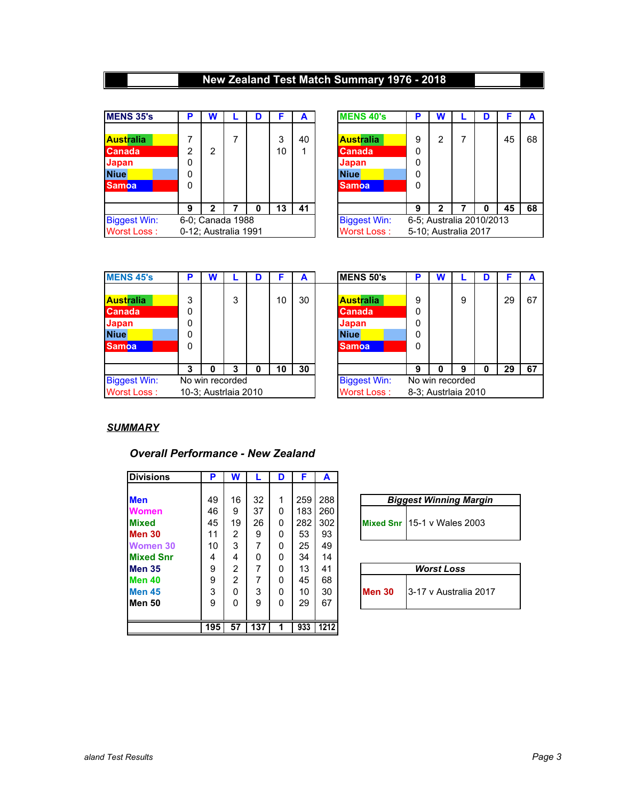### **New Zealand Test Match Summary 1976 - 2018**

| <b>MENS 35's</b>    | Р              | W                    | D |    | A  | <b>MENS 40's</b>    | D | W                        | D | F  | A  |
|---------------------|----------------|----------------------|---|----|----|---------------------|---|--------------------------|---|----|----|
|                     |                |                      |   |    |    |                     |   |                          |   |    |    |
| <b>Australia</b>    |                |                      |   | 3  | 40 | <b>Australia</b>    | 9 | 2                        |   | 45 | 68 |
| <b>Canada</b>       | $\overline{2}$ | 2                    |   | 10 | 1  | <b>Canada</b>       | 0 |                          |   |    |    |
| <b>Japan</b>        | 0              |                      |   |    |    | Japan               | 0 |                          |   |    |    |
| <b>Niue</b>         | $\Omega$       |                      |   |    |    | <b>Niue</b>         | 0 |                          |   |    |    |
| <b>Samoa</b>        | 0              |                      |   |    |    | <b>Samoa</b>        | 0 |                          |   |    |    |
|                     | 9              | 2                    | 0 | 13 | 41 |                     | 9 | 2                        | o | 45 | 68 |
| <b>Biggest Win:</b> |                | 6-0; Canada 1988     |   |    |    | <b>Biggest Win:</b> |   | 6-5; Australia 2010/2013 |   |    |    |
| Worst Loss:         |                | 0-12: Australia 1991 |   |    |    | Worst Loss:         |   | 5-10; Australia 2017     |   |    |    |

| Þ                                    | W              |  | D | F                                         | А       | <b>MENS 40's</b>                                                   | Р                                                | W |   | D | F  |    |
|--------------------------------------|----------------|--|---|-------------------------------------------|---------|--------------------------------------------------------------------|--------------------------------------------------|---|---|---|----|----|
| 7<br>2<br>0<br>0<br>0                | 2              |  |   | 3<br>10                                   | 40<br>1 | Australia<br><b>Canada</b><br>Japan<br><b>Niue</b><br><b>Samoa</b> | 9<br>0<br>0<br>0<br>0                            | 2 | 7 |   | 45 | 68 |
| 9                                    | $\overline{2}$ |  | 0 | 13                                        | 41      |                                                                    | 9                                                | 2 |   | 0 | 45 | 68 |
| 0; Canada 1988<br>12; Australia 1991 |                |  |   | <b>Biggest Win:</b><br><b>Worst Loss:</b> |         |                                                                    | 6-5; Australia 2010/2013<br>5-10; Australia 2017 |   |   |   |    |    |

| <b>MENS 45's</b>    | P        | w |                      | D |    | A  | <b>MENS 50's</b>    | O | W                   |   | D | F  | A  |
|---------------------|----------|---|----------------------|---|----|----|---------------------|---|---------------------|---|---|----|----|
|                     |          |   |                      |   |    |    |                     |   |                     |   |   |    |    |
| <b>Australia</b>    | 3        |   | 3                    |   | 10 | 30 | <b>Australia</b>    | 9 |                     | 9 |   | 29 | 67 |
| <b>Canada</b>       | 0        |   |                      |   |    |    | <b>Canada</b>       | 0 |                     |   |   |    |    |
| <b>Japan</b>        | 0        |   |                      |   |    |    | Japan               | 0 |                     |   |   |    |    |
| <b>Niue</b>         | 0        |   |                      |   |    |    | <b>Niue</b>         | 0 |                     |   |   |    |    |
| <b>Samoa</b>        | $\Omega$ |   |                      |   |    |    | <b>Samoa</b>        | 0 |                     |   |   |    |    |
|                     | 3        | 0 | 3                    | 0 | 10 | 30 |                     | 9 | Ω                   | 9 | 0 | 29 | 67 |
| <b>Biggest Win:</b> |          |   | No win recorded      |   |    |    | <b>Biggest Win:</b> |   | No win recorded     |   |   |    |    |
| Worst Loss:         |          |   | 10-3; Austrlaia 2010 |   |    |    | <b>Worst Loss:</b>  |   | 8-3; Austrlaia 2010 |   |   |    |    |

| D | W                   |   | D | F  | А  | <b>MENS 50's</b>    | Р | W |                     | D | F  | А  |
|---|---------------------|---|---|----|----|---------------------|---|---|---------------------|---|----|----|
|   |                     |   |   |    |    |                     |   |   |                     |   |    |    |
| 3 |                     | 3 |   | 10 | 30 | Australia           | 9 |   | 9                   |   | 29 | 67 |
| 0 |                     |   |   |    |    | <b>Canada</b>       | 0 |   |                     |   |    |    |
| 0 |                     |   |   |    |    | Japan               | 0 |   |                     |   |    |    |
| 0 |                     |   |   |    |    | <b>Niue</b>         | 0 |   |                     |   |    |    |
| 0 |                     |   |   |    |    | <b>Samoa</b>        | 0 |   |                     |   |    |    |
|   |                     |   |   |    |    |                     |   |   |                     |   |    |    |
| 3 | 0                   | 3 | 0 | 10 | 30 |                     | 9 | O | 9                   | 0 | 29 | 67 |
|   | o win recorded      |   |   |    |    | <b>Biggest Win:</b> |   |   | No win recorded     |   |    |    |
|   | 0-3; Austrlaia 2010 |   |   |    |    | <b>Worst Loss:</b>  |   |   | 8-3; Austrlaia 2010 |   |    |    |

### *SUMMARY*

#### *Overall Performance - New Zealand*

| <b>Divisions</b>  | P   | W  |     | D | F   | A    |                                        |
|-------------------|-----|----|-----|---|-----|------|----------------------------------------|
|                   |     |    |     |   |     |      |                                        |
| <b>Men</b>        | 49  | 16 | 32  | 1 | 259 | 288  | <b>Biggest Winning Margin</b>          |
| <b>Women</b>      | 46  | 9  | 37  | 0 | 183 | 260  |                                        |
| <b>Mixed</b>      | 45  | 19 | 26  | 0 | 282 | 302  | Mixed Snr 15-1 v Wales 2003            |
| <b>Men 30</b>     | 11  | 2  | 9   | 0 | 53  | 93   |                                        |
| Women 30          | 10  | 3  | 7   | 0 | 25  | 49   |                                        |
| <b>Mixed Snr</b>  | 4   | 4  | 0   | 0 | 34  | 14   |                                        |
| Men 35            | 9   | 2  |     | 0 | 13  | 41   | <b>Worst Loss</b>                      |
| Men <sub>40</sub> | 9   | 2  | 7   | 0 | 45  | 68   |                                        |
| <b>Men 45</b>     | 3   | 0  | 3   | 0 | 10  | 30   | <b>Men 30</b><br>3-17 v Australia 2017 |
| lMen 50           | 9   | 0  | 9   | 0 | 29  | 67   |                                        |
|                   |     |    |     |   |     |      |                                        |
|                   | 195 | 57 | 137 |   | 933 | 1212 |                                        |

| <b>Biggest Winning Margin</b> |                             |  |  |  |  |  |  |  |  |
|-------------------------------|-----------------------------|--|--|--|--|--|--|--|--|
|                               | Mixed Snr 15-1 v Wales 2003 |  |  |  |  |  |  |  |  |

| <b>Worst Loss</b> |                       |  |  |  |  |  |  |
|-------------------|-----------------------|--|--|--|--|--|--|
| Men 30            | 3-17 v Australia 2017 |  |  |  |  |  |  |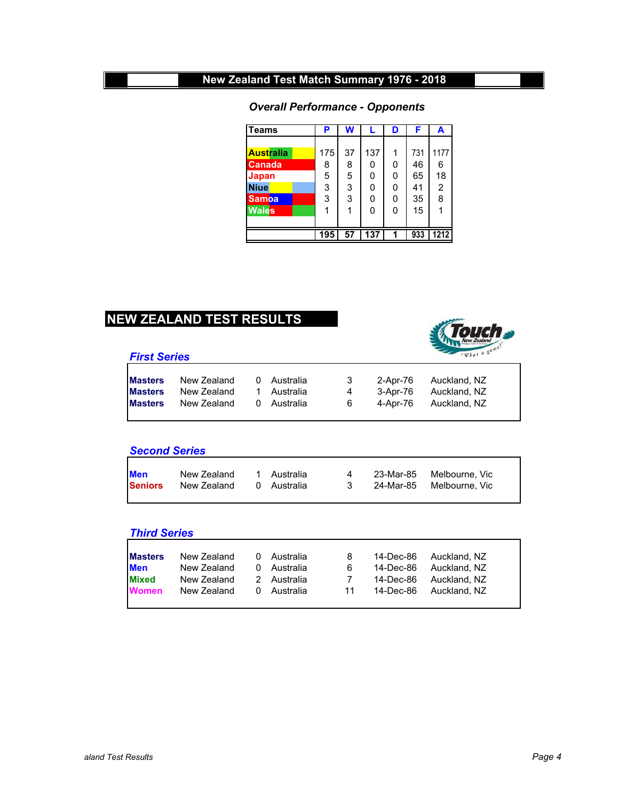### *Overall Performance - Opponents*

| <b>Teams</b>     | Р   | W  | L   | D | F   | A    |
|------------------|-----|----|-----|---|-----|------|
|                  |     |    |     |   |     |      |
| <b>Australia</b> | 175 | 37 | 137 | 1 | 731 | 1177 |
| <b>Canada</b>    | 8   | 8  | 0   | 0 | 46  | 6    |
| Japan            | 5   | 5  | 0   | 0 | 65  | 18   |
| <b>Niue</b>      | 3   | 3  | 0   | 0 | 41  | 2    |
| <b>Samoa</b>     | 3   | 3  | 0   | 0 | 35  | 8    |
| <b>Wales</b>     | 1   | 1  | 0   | 0 | 15  |      |
|                  |     |    |     |   |     |      |
|                  | 195 | 57 | 137 | 1 | 933 | 1212 |

### **NEW ZEALAND TEST RESULTS**





| <b>Masters</b> | New Zealand | 0 Australia | $\sim$ 3 | 2-Apr-76 Auckland, NZ |
|----------------|-------------|-------------|----------|-----------------------|
| <b>Masters</b> | New Zealand | 1 Australia | 4        | 3-Apr-76 Auckland, NZ |
| <b>Masters</b> | New Zealand | 0 Australia | 6        | 4-Apr-76 Auckland, NZ |
|                |             |             |          |                       |

#### *Second Series*

| <b>Men</b>     | New Zealand | 1 Australia | 4                       | 23-Mar-85  Melbourne. Vic |
|----------------|-------------|-------------|-------------------------|---------------------------|
| <b>Seniors</b> | New Zealand | 0 Australia | $\overline{\mathbf{3}}$ | 24-Mar-85  Melbourne. Vic |
|                |             |             |                         |                           |

#### *Third Series*

| <b>Masters</b> | New Zealand | 0 | Australia   | 8              | 14-Dec-86 | Auckland. NZ           |
|----------------|-------------|---|-------------|----------------|-----------|------------------------|
| <b>Men</b>     | New Zealand |   | 0 Australia | 6              | 14-Dec-86 | Auckland. NZ           |
| <b>Mixed</b>   | New Zealand |   | 2 Australia | $\overline{7}$ |           | 14-Dec-86 Auckland, NZ |
| <b>Women</b>   | New Zealand |   | 0 Australia | 11             | 14-Dec-86 | Auckland. NZ           |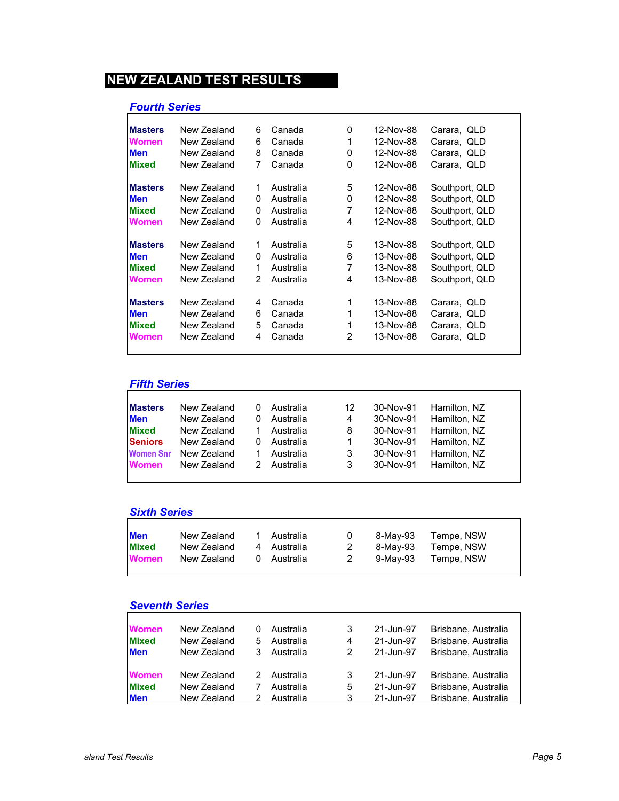### *Fourth Series*

| <b>Masters</b> | New Zealand | 6             | Canada    | 0 | 12-Nov-88 | Carara, QLD    |  |
|----------------|-------------|---------------|-----------|---|-----------|----------------|--|
| <b>Women</b>   | New Zealand | 6             | Canada    | 1 | 12-Nov-88 | Carara, QLD    |  |
| <b>Men</b>     | New Zealand | 8             | Canada    | 0 | 12-Nov-88 | Carara, QLD    |  |
| <b>Mixed</b>   | New Zealand | 7             | Canada    | 0 | 12-Nov-88 | Carara, QLD    |  |
| <b>Masters</b> | New Zealand | 1             | Australia | 5 | 12-Nov-88 | Southport, QLD |  |
| <b>Men</b>     | New Zealand | 0             | Australia | 0 | 12-Nov-88 | Southport, QLD |  |
| <b>Mixed</b>   | New Zealand | 0             | Australia | 7 | 12-Nov-88 | Southport, QLD |  |
| <b>Women</b>   | New Zealand | 0             | Australia | 4 | 12-Nov-88 | Southport, QLD |  |
| <b>Masters</b> | New Zealand | 1             | Australia | 5 | 13-Nov-88 | Southport, QLD |  |
| <b>Men</b>     | New Zealand | 0             | Australia | 6 | 13-Nov-88 | Southport, QLD |  |
| <b>Mixed</b>   | New Zealand | 1             | Australia | 7 | 13-Nov-88 | Southport, QLD |  |
| <b>Women</b>   | New Zealand | $\mathcal{P}$ | Australia | 4 | 13-Nov-88 | Southport, QLD |  |
| <b>Masters</b> | New Zealand | 4             | Canada    | 1 | 13-Nov-88 | Carara, QLD    |  |
| <b>Men</b>     | New Zealand | 6             | Canada    | 1 | 13-Nov-88 | Carara, QLD    |  |
| <b>Mixed</b>   | New Zealand | 5             | Canada    |   | 13-Nov-88 | Carara, QLD    |  |
| <b>Women</b>   | New Zealand | 4             | Canada    | 2 | 13-Nov-88 | Carara, QLD    |  |
|                |             |               |           |   |           |                |  |

### *Fifth Series*

| <b>IMasters</b>  | New Zealand | Australia | 12 | 30-Nov-91 | Hamilton, NZ |
|------------------|-------------|-----------|----|-----------|--------------|
| <b>Men</b>       | New Zealand | Australia | 4  | 30-Nov-91 | Hamilton, NZ |
| <b>Mixed</b>     | New Zealand | Australia | 8  | 30-Nov-91 | Hamilton, NZ |
| <b>Seniors</b>   | New Zealand | Australia | 1  | 30-Nov-91 | Hamilton, NZ |
| <b>Women Snr</b> | New Zealand | Australia | 3  | 30-Nov-91 | Hamilton, NZ |
| <b>Women</b>     | New Zealand | Australia | 3  | 30-Nov-91 | Hamilton, NZ |
|                  |             |           |    |           |              |

# *Sixth Series*

| <b>Men</b>   | New Zealand | 1 Australia | $\mathbf{0}$ | 8-May-93 | Tempe, NSW |
|--------------|-------------|-------------|--------------|----------|------------|
| <b>Mixed</b> | New Zealand | 4 Australia | 2            | 8-May-93 | Tempe, NSW |
| <b>Women</b> | New Zealand | 0 Australia | 2            | 9-Mav-93 | Tempe, NSW |
|              |             |             |              |          |            |

### *Seventh Series*

| <b>Women</b> | New Zealand |    | Australia | 3 | 21-Jun-97 | Brisbane, Australia |
|--------------|-------------|----|-----------|---|-----------|---------------------|
| <b>Mixed</b> | New Zealand | 5. | Australia | 4 | 21-Jun-97 | Brisbane, Australia |
| <b>Men</b>   | New Zealand |    | Australia | 2 | 21-Jun-97 | Brisbane, Australia |
| <b>Women</b> | New Zealand | 2. | Australia | 3 | 21-Jun-97 | Brisbane, Australia |
| <b>Mixed</b> | New Zealand |    | Australia | 5 | 21-Jun-97 | Brisbane, Australia |
| <b>Men</b>   | New Zealand |    | Australia | 3 | 21-Jun-97 | Brisbane, Australia |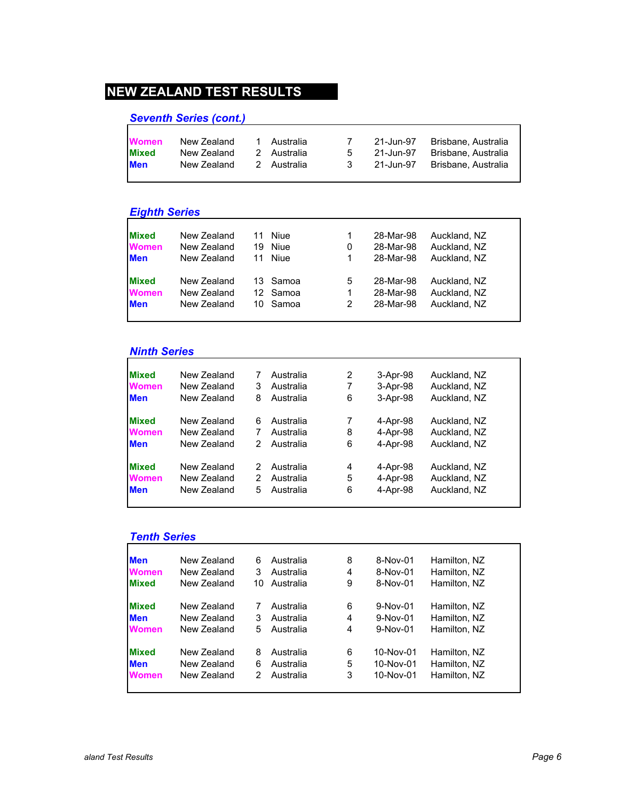# *Seventh Series (cont.)*

| <b>Women</b> | New Zealand | Australia   |     | 21-Jun-97 | Brisbane, Australia |
|--------------|-------------|-------------|-----|-----------|---------------------|
| <b>Mixed</b> | New Zealand | 2 Australia | .5  | 21-Jun-97 | Brisbane, Australia |
| <b>Men</b>   | New Zealand | 2 Australia | -3- | 21-Jun-97 | Brisbane, Australia |

#### *Eighth Series*

| <b>Mixed</b> | New Zealand | 11 | Niue     | 1 | 28-Mar-98 | Auckland, NZ |
|--------------|-------------|----|----------|---|-----------|--------------|
| <b>Women</b> | New Zealand | 19 | Niue     | 0 | 28-Mar-98 | Auckland, NZ |
| <b>Men</b>   | New Zealand | 11 | Niue     | 1 | 28-Mar-98 | Auckland, NZ |
|              |             |    |          |   |           |              |
| <b>Mixed</b> | New Zealand |    | 13 Samoa | 5 | 28-Mar-98 | Auckland, NZ |
| <b>Women</b> | New Zealand |    | 12 Samoa | 1 | 28-Mar-98 | Auckland, NZ |
| <b>Men</b>   | New Zealand |    | 10 Samoa | 2 | 28-Mar-98 | Auckland, NZ |
|              |             |    |          |   |           |              |

### *Ninth Series*

| <b>Mixed</b> | New Zealand | 7 | Australia | 2 | 3-Apr-98 | Auckland, NZ |
|--------------|-------------|---|-----------|---|----------|--------------|
| <b>Women</b> | New Zealand | 3 | Australia | 7 | 3-Apr-98 | Auckland, NZ |
| <b>Men</b>   | New Zealand | 8 | Australia | 6 | 3-Apr-98 | Auckland, NZ |
| <b>Mixed</b> | New Zealand | 6 | Australia | 7 | 4-Apr-98 | Auckland, NZ |
| <b>Women</b> | New Zealand |   | Australia | 8 | 4-Apr-98 | Auckland, NZ |
| <b>Men</b>   | New Zealand | 2 | Australia | 6 | 4-Apr-98 | Auckland, NZ |
| <b>Mixed</b> | New Zealand | 2 | Australia | 4 | 4-Apr-98 | Auckland, NZ |
| <b>Women</b> | New Zealand | 2 | Australia | 5 | 4-Apr-98 | Auckland, NZ |
| <b>Men</b>   | New Zealand | 5 | Australia | 6 | 4-Apr-98 | Auckland, NZ |
|              |             |   |           |   |          |              |

### *Tenth Series*

| New Zealand<br>New Zealand<br>New Zealand | 6<br>3 | Australia<br>Australia | 8<br>4 | 8-Nov-01   | Hamilton, NZ |
|-------------------------------------------|--------|------------------------|--------|------------|--------------|
|                                           |        |                        |        |            |              |
|                                           |        |                        |        | 8-Nov-01   | Hamilton, NZ |
|                                           | 10     | Australia              | 9      | 8-Nov-01   | Hamilton, NZ |
| New Zealand                               |        | Australia              | 6      | $9-Nov-01$ | Hamilton, NZ |
| New Zealand                               | 3      | Australia              | 4      | $9-Nov-01$ | Hamilton, NZ |
| New Zealand                               | 5      | Australia              | 4      | $9-Nov-01$ | Hamilton, NZ |
| New Zealand                               | 8      | Australia              | 6      | 10-Nov-01  | Hamilton, NZ |
| New Zealand                               | 6      | Australia              | 5      | 10-Nov-01  | Hamilton, NZ |
| New Zealand                               | 2      | Australia              | 3      | 10-Nov-01  | Hamilton, NZ |
|                                           |        |                        |        |            |              |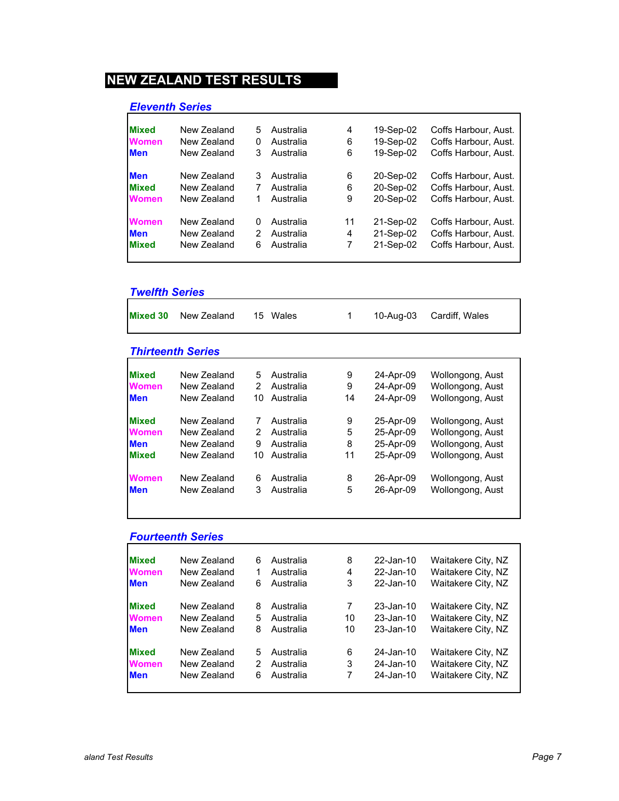### *Eleventh Series*

| <b>Mixed</b> | New Zealand | 5 | Australia | 4  | 19-Sep-02 | Coffs Harbour, Aust. |
|--------------|-------------|---|-----------|----|-----------|----------------------|
| <b>Women</b> | New Zealand | 0 | Australia | 6  | 19-Sep-02 | Coffs Harbour, Aust. |
| <b>Men</b>   | New Zealand | 3 | Australia | 6  | 19-Sep-02 | Coffs Harbour, Aust. |
| <b>Men</b>   | New Zealand | 3 | Australia | 6  | 20-Sep-02 | Coffs Harbour, Aust. |
| <b>Mixed</b> | New Zealand | 7 | Australia | 6  | 20-Sep-02 | Coffs Harbour, Aust. |
| <b>Women</b> | New Zealand |   | Australia | 9  | 20-Sep-02 | Coffs Harbour, Aust. |
| <b>Women</b> | New Zealand | 0 | Australia | 11 | 21-Sep-02 | Coffs Harbour, Aust. |
| <b>Men</b>   | New Zealand | 2 | Australia | 4  | 21-Sep-02 | Coffs Harbour, Aust. |
| <b>Mixed</b> | New Zealand | 6 | Australia | 7  | 21-Sep-02 | Coffs Harbour, Aust. |
|              |             |   |           |    |           |                      |

### *Twelfth Series*

| <u>I weihin Senes</u> |                          |               |           |    |           |                  |
|-----------------------|--------------------------|---------------|-----------|----|-----------|------------------|
| <b>Mixed 30</b>       | New Zealand              | 15            | Wales     | 1  | 10-Aug-03 | Cardiff. Wales   |
|                       | <b>Thirteenth Series</b> |               |           |    |           |                  |
| <b>Mixed</b>          | New Zealand              | 5             | Australia | 9  | 24-Apr-09 | Wollongong, Aust |
| <b>Women</b>          | New Zealand              | 2             | Australia | 9  | 24-Apr-09 | Wollongong, Aust |
| <b>Men</b>            | New Zealand              | 10            | Australia | 14 | 24-Apr-09 | Wollongong, Aust |
| <b>Mixed</b>          | New Zealand              | 7             | Australia | 9  | 25-Apr-09 | Wollongong, Aust |
| <b>Women</b>          | New Zealand              | $\mathcal{P}$ | Australia | 5  | 25-Apr-09 | Wollongong, Aust |
| <b>Men</b>            | New Zealand              | 9             | Australia | 8  | 25-Apr-09 | Wollongong, Aust |
| <b>Mixed</b>          | New Zealand              | 10            | Australia | 11 | 25-Apr-09 | Wollongong, Aust |
| <b>Women</b>          | New Zealand              | 6             | Australia | 8  | 26-Apr-09 | Wollongong, Aust |
| <b>Men</b>            | New Zealand              | 3             | Australia | 5  | 26-Apr-09 | Wollongong, Aust |
|                       |                          |               |           |    |           |                  |

### *Fourteenth Series*

| <b>Mixed</b> | New Zealand | 6 | Australia | 8  | 22-Jan-10    | Waitakere City, NZ |
|--------------|-------------|---|-----------|----|--------------|--------------------|
| <b>Women</b> | New Zealand | 1 | Australia | 4  | 22-Jan-10    | Waitakere City, NZ |
| <b>Men</b>   | New Zealand | 6 | Australia | 3  | 22-Jan-10    | Waitakere City, NZ |
| <b>Mixed</b> | New Zealand | 8 | Australia | 7  | 23-Jan-10    | Waitakere City, NZ |
| <b>Women</b> | New Zealand | 5 | Australia | 10 | 23-Jan-10    | Waitakere City, NZ |
| <b>Men</b>   | New Zealand | 8 | Australia | 10 | $23$ -Jan-10 | Waitakere City, NZ |
| <b>Mixed</b> | New Zealand | 5 | Australia | 6  | 24-Jan-10    | Waitakere City, NZ |
| <b>Women</b> | New Zealand | 2 | Australia | 3  | 24-Jan-10    | Waitakere City, NZ |
| <b>Men</b>   | New Zealand | 6 | Australia | 7  | 24-Jan-10    | Waitakere City, NZ |
|              |             |   |           |    |              |                    |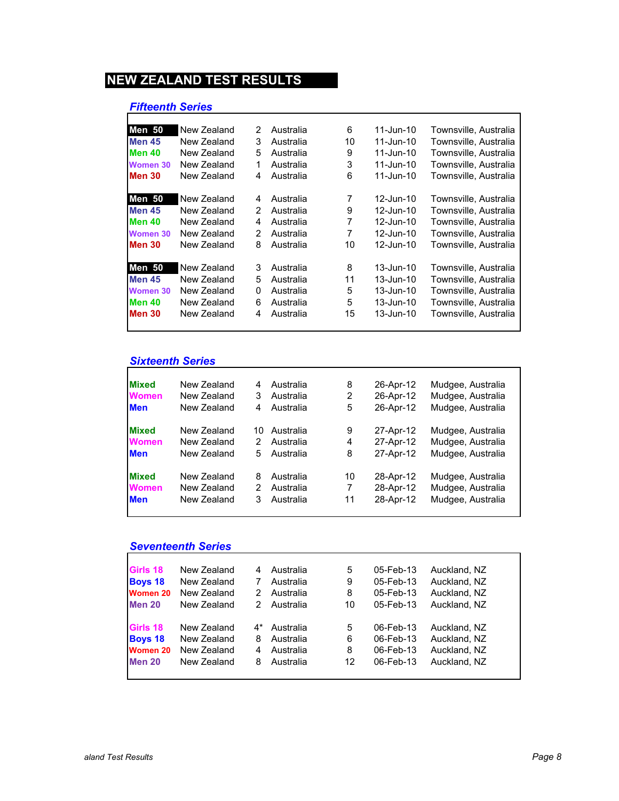### *Fifteenth Series*

| <b>Men 50</b> | New Zealand | 2 | Australia | 6  | $11$ -Jun-10  | Townsville, Australia |
|---------------|-------------|---|-----------|----|---------------|-----------------------|
| <b>Men 45</b> | New Zealand | 3 | Australia | 10 | $11$ -Jun-10  | Townsville, Australia |
| <b>Men 40</b> | New Zealand | 5 | Australia | 9  | $11$ -Jun-10  | Townsville, Australia |
| Women 30      | New Zealand | 1 | Australia | 3  | $11$ -Jun-10  | Townsville, Australia |
| <b>Men 30</b> | New Zealand | 4 | Australia | 6  | 11-Jun-10     | Townsville, Australia |
| Men 50        | New Zealand | 4 | Australia | 7  | 12-Jun-10     | Townsville, Australia |
| <b>Men 45</b> | New Zealand | 2 | Australia | 9  | 12-Jun-10     | Townsville, Australia |
| <b>Men 40</b> | New Zealand | 4 | Australia | 7  | 12-Jun-10     | Townsville, Australia |
| Women 30      | New Zealand | 2 | Australia | 7  | 12-Jun-10     | Townsville. Australia |
| <b>Men 30</b> | New Zealand | 8 | Australia | 10 | 12-Jun-10     | Townsville, Australia |
| Men 50        | New Zealand | 3 | Australia | 8  | $13 - Jun-10$ | Townsville, Australia |
| <b>Men 45</b> | New Zealand | 5 | Australia | 11 | 13-Jun-10     | Townsville, Australia |
| Women 30      | New Zealand | 0 | Australia | 5  | 13-Jun-10     | Townsville, Australia |
| <b>Men 40</b> | New Zealand | 6 | Australia | 5  | $13 - Jun-10$ | Townsville. Australia |
| <b>Men 30</b> | New Zealand | 4 | Australia | 15 | 13-Jun-10     | Townsville. Australia |
|               |             |   |           |    |               |                       |

#### *Sixteenth Series*

| <b>Mixed</b> | New Zealand | 4  | Australia | 8  | 26-Apr-12 | Mudgee, Australia |
|--------------|-------------|----|-----------|----|-----------|-------------------|
| <b>Women</b> | New Zealand | 3  | Australia | 2  | 26-Apr-12 | Mudgee, Australia |
| <b>Men</b>   | New Zealand | 4  | Australia | 5  | 26-Apr-12 | Mudgee, Australia |
| <b>Mixed</b> | New Zealand | 10 | Australia | 9  | 27-Apr-12 | Mudgee, Australia |
| <b>Women</b> | New Zealand | 2  | Australia | 4  | 27-Apr-12 | Mudgee, Australia |
| <b>Men</b>   | New Zealand | 5  | Australia | 8  | 27-Apr-12 | Mudgee, Australia |
| <b>Mixed</b> | New Zealand | 8  | Australia | 10 | 28-Apr-12 | Mudgee, Australia |
| <b>Women</b> | New Zealand | 2  | Australia | 7  | 28-Apr-12 | Mudgee, Australia |
| <b>Men</b>   | New Zealand | 3  | Australia | 11 | 28-Apr-12 | Mudgee, Australia |
|              |             |    |           |    |           |                   |

# *Seventeenth Series*

| Girls 18        | New Zealand | 4  | Australia | 5  | 05-Feb-13 | Auckland, NZ |
|-----------------|-------------|----|-----------|----|-----------|--------------|
| <b>Boys 18</b>  | New Zealand |    | Australia | 9  | 05-Feb-13 | Auckland, NZ |
| <b>Women 20</b> | New Zealand | 2  | Australia | 8  | 05-Feb-13 | Auckland, NZ |
| <b>Men 20</b>   | New Zealand | 2  | Australia | 10 | 05-Feb-13 | Auckland, NZ |
| Girls 18        | New Zealand | 4* | Australia | 5  | 06-Feb-13 | Auckland, NZ |
| <b>Boys 18</b>  | New Zealand | 8  | Australia | 6  | 06-Feb-13 | Auckland, NZ |
| Women 20        | New Zealand | 4  | Australia | 8  | 06-Feb-13 | Auckland, NZ |
| <b>Men 20</b>   | New Zealand | 8  | Australia | 12 | 06-Feb-13 | Auckland, NZ |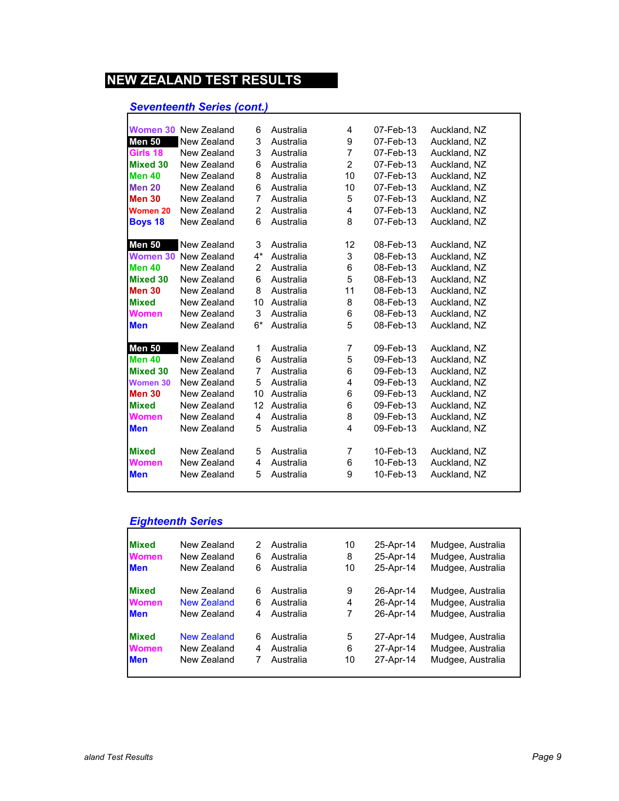# *Seventeenth Series (cont.)*

| Women 30        | New Zealand                 | 6              | Australia | 4              | 07-Feb-13 | Auckland, NZ |
|-----------------|-----------------------------|----------------|-----------|----------------|-----------|--------------|
| <b>Men 50</b>   | New Zealand                 | 3              | Australia | 9              | 07-Feb-13 | Auckland, NZ |
| Girls 18        | New Zealand                 | 3              | Australia | $\overline{7}$ | 07-Feb-13 | Auckland, NZ |
| <b>Mixed 30</b> | New Zealand                 | 6              | Australia | $\overline{2}$ | 07-Feb-13 | Auckland, NZ |
| <b>Men 40</b>   | New Zealand                 | 8              | Australia | 10             | 07-Feb-13 | Auckland, NZ |
| <b>Men 20</b>   | New Zealand                 | 6              | Australia | 10             | 07-Feb-13 | Auckland, NZ |
| <b>Men 30</b>   | New Zealand                 | $\overline{7}$ | Australia | 5              | 07-Feb-13 | Auckland, NZ |
| Women 20        | New Zealand                 | 2              | Australia | 4              | 07-Feb-13 | Auckland, NZ |
| <b>Boys 18</b>  | New Zealand                 | 6              | Australia | 8              | 07-Feb-13 | Auckland, NZ |
|                 |                             |                |           |                |           |              |
| <b>Men 50</b>   | New Zealand                 | 3              | Australia | 12             | 08-Feb-13 | Auckland, NZ |
|                 | <b>Women 30 New Zealand</b> | $4^*$          | Australia | 3              | 08-Feb-13 | Auckland, NZ |
| <b>Men 40</b>   | New Zealand                 | 2              | Australia | 6              | 08-Feb-13 | Auckland, NZ |
| <b>Mixed 30</b> | New Zealand                 | 6              | Australia | 5              | 08-Feb-13 | Auckland, NZ |
| <b>Men 30</b>   | New Zealand                 | 8              | Australia | 11             | 08-Feb-13 | Auckland, NZ |
| <b>Mixed</b>    | New Zealand                 | 10             | Australia | 8              | 08-Feb-13 | Auckland, NZ |
| Women           | New Zealand                 | 3              | Australia | 6              | 08-Feb-13 | Auckland, NZ |
| <b>Men</b>      | New Zealand                 | $6*$           | Australia | 5              | 08-Feb-13 | Auckland, NZ |
|                 |                             |                |           |                |           |              |
| <b>Men 50</b>   | New Zealand                 | 1              | Australia | $\overline{7}$ | 09-Feb-13 | Auckland, NZ |
| <b>Men 40</b>   | New Zealand                 | 6              | Australia | 5              | 09-Feb-13 | Auckland, NZ |
| <b>Mixed 30</b> | New Zealand                 | $\overline{7}$ | Australia | 6              | 09-Feb-13 | Auckland, NZ |
| <b>Women 30</b> | New Zealand                 | 5              | Australia | 4              | 09-Feb-13 | Auckland, NZ |
| <b>Men 30</b>   | New Zealand                 | 10             | Australia | 6              | 09-Feb-13 | Auckland, NZ |
| <b>Mixed</b>    | New Zealand                 | 12             | Australia | 6              | 09-Feb-13 | Auckland, NZ |
| Women           | New Zealand                 | 4              | Australia | 8              | 09-Feb-13 | Auckland, NZ |
| <b>Men</b>      | New Zealand                 | 5              | Australia | 4              | 09-Feb-13 | Auckland, NZ |
|                 |                             |                |           |                |           |              |
| <b>Mixed</b>    | New Zealand                 | 5              | Australia | 7              | 10-Feb-13 | Auckland, NZ |
| Women           | New Zealand                 | 4              | Australia | 6              | 10-Feb-13 | Auckland, NZ |
| <b>Men</b>      | New Zealand                 | 5              | Australia | 9              | 10-Feb-13 | Auckland, NZ |
|                 |                             |                |           |                |           |              |

# *Eighteenth Series*

| <b>Mixed</b> | New Zealand        | 2 | Australia | 10 | 25-Apr-14 | Mudgee, Australia |
|--------------|--------------------|---|-----------|----|-----------|-------------------|
| <b>Women</b> | New Zealand        | 6 | Australia | 8  | 25-Apr-14 | Mudgee, Australia |
| <b>Men</b>   | New Zealand        | 6 | Australia | 10 | 25-Apr-14 | Mudgee, Australia |
| <b>Mixed</b> | New Zealand        | 6 | Australia | 9  | 26-Apr-14 | Mudgee, Australia |
| <b>Women</b> | <b>New Zealand</b> | 6 | Australia | 4  | 26-Apr-14 | Mudgee, Australia |
| <b>Men</b>   | New Zealand        | 4 | Australia | 7  | 26-Apr-14 | Mudgee, Australia |
| <b>Mixed</b> | <b>New Zealand</b> | 6 | Australia | 5  | 27-Apr-14 | Mudgee, Australia |
| <b>Women</b> | New Zealand        | 4 | Australia | 6  | 27-Apr-14 | Mudgee, Australia |
| <b>Men</b>   | New Zealand        | 7 | Australia | 10 | 27-Apr-14 | Mudgee, Australia |
|              |                    |   |           |    |           |                   |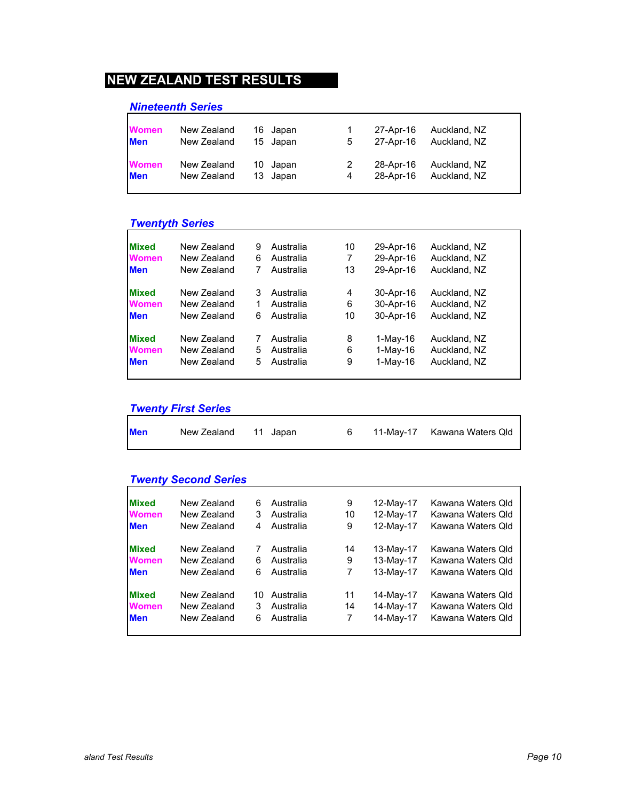### *Nineteenth Series*

| <b>Women</b> | New Zealand | 16 Japan | $\overline{1}$ | 27-Apr-16 | Auckland, NZ |
|--------------|-------------|----------|----------------|-----------|--------------|
| <b>Men</b>   | New Zealand | 15 Japan | 5              | 27-Apr-16 | Auckland, NZ |
| <b>Women</b> | New Zealand | 10 Japan | 2              | 28-Apr-16 | Auckland, NZ |
| <b>Men</b>   | New Zealand | 13 Japan | 4              | 28-Apr-16 | Auckland, NZ |

# *Twentyth Series*

| <b>Mixed</b> | New Zealand | 9 | Australia | 10 | 29-Apr-16  | Auckland, NZ |
|--------------|-------------|---|-----------|----|------------|--------------|
| <b>Women</b> | New Zealand | 6 | Australia | 7  | 29-Apr-16  | Auckland, NZ |
| <b>Men</b>   | New Zealand |   | Australia | 13 | 29-Apr-16  | Auckland, NZ |
|              |             |   |           |    |            |              |
| <b>Mixed</b> | New Zealand | 3 | Australia | 4  | 30-Apr-16  | Auckland, NZ |
| <b>Women</b> | New Zealand |   | Australia | 6  | 30-Apr-16  | Auckland, NZ |
| <b>Men</b>   | New Zealand | 6 | Australia | 10 | 30-Apr-16  | Auckland, NZ |
|              |             |   |           |    |            |              |
| <b>Mixed</b> | New Zealand |   | Australia | 8  | 1-May-16   | Auckland, NZ |
| <b>Women</b> | New Zealand | 5 | Australia | 6  | $1-Mav-16$ | Auckland, NZ |
| <b>Men</b>   | New Zealand | 5 | Australia | 9  | $1-May-16$ | Auckland, NZ |
|              |             |   |           |    |            |              |

# *Twenty First Series*

| <b>Men</b> | New Zealand 11 Japan |  | 11-May-17 Kawana Waters Qld |
|------------|----------------------|--|-----------------------------|
|            |                      |  |                             |

| <b>Twenty Second Series</b> |  |
|-----------------------------|--|
|                             |  |

| <b>Mixed</b> | New Zealand | 6  | Australia | 9  | 12-May-17 | Kawana Waters Qld |
|--------------|-------------|----|-----------|----|-----------|-------------------|
| <b>Women</b> | New Zealand | 3  | Australia | 10 | 12-May-17 | Kawana Waters Qld |
| <b>Men</b>   | New Zealand | 4  | Australia | 9  | 12-May-17 | Kawana Waters Qld |
| <b>Mixed</b> | New Zealand |    | Australia | 14 | 13-May-17 | Kawana Waters Qld |
| <b>Women</b> | New Zealand | 6  | Australia | 9  | 13-May-17 | Kawana Waters Qld |
| <b>Men</b>   | New Zealand | 6  | Australia | 7  | 13-May-17 | Kawana Waters Qld |
| <b>Mixed</b> | New Zealand | 10 | Australia | 11 | 14-May-17 | Kawana Waters Old |
| <b>Women</b> | New Zealand | 3  | Australia | 14 | 14-May-17 | Kawana Waters Qld |
| <b>Men</b>   | New Zealand | 6  | Australia | 7  | 14-May-17 | Kawana Waters Qld |
|              |             |    |           |    |           |                   |